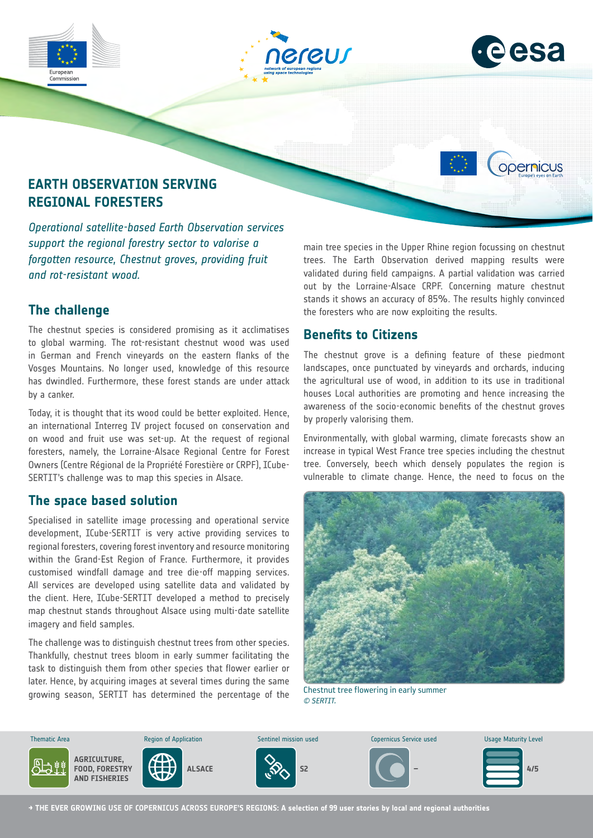





opernicus

# **EARTH OBSERVATION SERVING REGIONAL FORESTERS**

*Operational satellite-based Earth Observation services support the regional forestry sector to valorise a forgotten resource, Chestnut groves, providing fruit and rot-resistant wood.*

# **The challenge**

The chestnut species is considered promising as it acclimatises to global warming. The rot-resistant chestnut wood was used in German and French vineyards on the eastern flanks of the Vosges Mountains. No longer used, knowledge of this resource has dwindled. Furthermore, these forest stands are under attack by a canker.

Today, it is thought that its wood could be better exploited. Hence, an international Interreg IV project focused on conservation and on wood and fruit use was set-up. At the request of regional foresters, namely, the Lorraine-Alsace Regional Centre for Forest Owners (Centre Régional de la Propriété Forestière or CRPF), ICube-SERTIT's challenge was to map this species in Alsace.

### **The space based solution**

Specialised in satellite image processing and operational service development, ICube-SERTIT is very active providing services to regional foresters, covering forest inventory and resource monitoring within the Grand-Est Region of France. Furthermore, it provides customised windfall damage and tree die-off mapping services. All services are developed using satellite data and validated by the client. Here, ICube-SERTIT developed a method to precisely map chestnut stands throughout Alsace using multi-date satellite imagery and field samples.

The challenge was to distinguish chestnut trees from other species. Thankfully, chestnut trees bloom in early summer facilitating the task to distinguish them from other species that flower earlier or later. Hence, by acquiring images at several times during the same growing season, SERTIT has determined the percentage of the

main tree species in the Upper Rhine region focussing on chestnut trees. The Earth Observation derived mapping results were validated during field campaigns. A partial validation was carried out by the Lorraine-Alsace CRPF. Concerning mature chestnut stands it shows an accuracy of 85%. The results highly convinced the foresters who are now exploiting the results.

# **Benefits to Citizens**

The chestnut grove is a defining feature of these piedmont landscapes, once punctuated by vineyards and orchards, inducing the agricultural use of wood, in addition to its use in traditional houses Local authorities are promoting and hence increasing the awareness of the socio-economic benefits of the chestnut groves by properly valorising them.

Environmentally, with global warming, climate forecasts show an increase in typical West France tree species including the chestnut tree. Conversely, beech which densely populates the region is vulnerable to climate change. Hence, the need to focus on the



Chestnut tree flowering in early summer *© SERTIT.*



**→ THE EVER GROWING USE OF COPERNICUS ACROSS EUROPE'S REGIONS: A selection of 99 user stories by local and regional authorities**